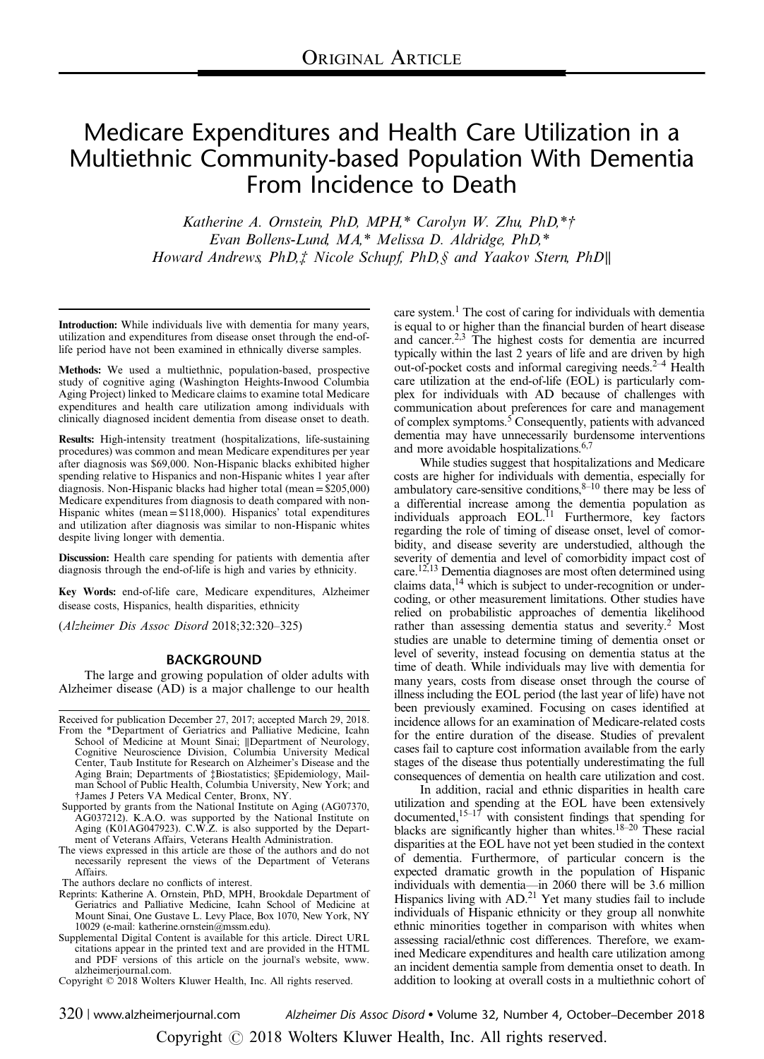# Medicare Expenditures and Health Care Utilization in a Multiethnic Community-based Population With Dementia From Incidence to Death

Katherine A. Ornstein, PhD, MPH, $*$  Carolyn W. Zhu, PhD, $*$ † Evan Bollens-Lund, MA,\* Melissa D. Aldridge, PhD,\* Howard Andrews, PhD,‡ Nicole Schupf, PhD,§ and Yaakov Stern, PhD∥

Introduction: While individuals live with dementia for many years, utilization and expenditures from disease onset through the end-oflife period have not been examined in ethnically diverse samples.

Methods: We used a multiethnic, population-based, prospective study of cognitive aging (Washington Heights-Inwood Columbia Aging Project) linked to Medicare claims to examine total Medicare expenditures and health care utilization among individuals with clinically diagnosed incident dementia from disease onset to death.

Results: High-intensity treatment (hospitalizations, life-sustaining procedures) was common and mean Medicare expenditures per year after diagnosis was \$69,000. Non-Hispanic blacks exhibited higher spending relative to Hispanics and non-Hispanic whites 1 year after diagnosis. Non-Hispanic blacks had higher total (mean=\$205,000) Medicare expenditures from diagnosis to death compared with non-Hispanic whites (mean=\$118,000). Hispanics' total expenditures and utilization after diagnosis was similar to non-Hispanic whites despite living longer with dementia.

Discussion: Health care spending for patients with dementia after diagnosis through the end-of-life is high and varies by ethnicity.

Key Words: end-of-life care, Medicare expenditures, Alzheimer disease costs, Hispanics, health disparities, ethnicity

(Alzheimer Dis Assoc Disord 2018;32:320–325)

## BACKGROUND

The large and growing population of older adults with Alzheimer disease (AD) is a major challenge to our health

- Received for publication December 27, 2017; accepted March 29, 2018. From the \*Department of Geriatrics and Palliative Medicine, Icahn School of Medicine at Mount Sinai; ∥Department of Neurology, Cognitive Neuroscience Division, Columbia University Medical Center, Taub Institute for Research on Alzheimer's Disease and the Aging Brain; Departments of ‡Biostatistics; §Epidemiology, Mail-man School of Public Health, Columbia University, New York; and †James J Peters VA Medical Center, Bronx, NY.
- Supported by grants from the National Institute on Aging (AG07370, AG037212). K.A.O. was supported by the National Institute on Aging (K01AG047923). C.W.Z. is also supported by the Department of Veterans Affairs, Veterans Health Administration.
- The views expressed in this article are those of the authors and do not necessarily represent the views of the Department of Veterans Affairs.

The authors declare no conflicts of interest.

- Reprints: Katherine A. Ornstein, PhD, MPH, Brookdale Department of Geriatrics and Palliative Medicine, Icahn School of Medicine at Mount Sinai, One Gustave L. Levy Place, Box 1070, New York, NY 10029 (e-mail: [katherine.ornstein@mssm.edu](mailto:katherine.ornstein@mssm.edu)).
- Supplemental Digital Content is available for this article. Direct URL citations appear in the printed text and are provided in the HTML and PDF versions of this article on the journal's website, [www.](http://www.alzheimerjournal.com) [alzheimerjournal.com.](http://www.alzheimerjournal.com)

care system.<sup>1</sup> The cost of caring for individuals with dementia is equal to or higher than the financial burden of heart disease and cancer.<sup>2,3</sup> The highest costs for dementia are incurred typically within the last 2 years of life and are driven by high out-of-pocket costs and informal caregiving needs. $2-4$  Health care utilization at the end-of-life (EOL) is particularly complex for individuals with AD because of challenges with communication about preferences for care and management of complex symptoms.<sup>[5](#page-5-0)</sup> Consequently, patients with advanced dementia may have unnecessarily burdensome interventions and more avoidable hospitalizations.[6,7](#page-5-0)

While studies suggest that hospitalizations and Medicare costs are higher for individuals with dementia, especially for ambulatory care-sensitive conditions, $8-10$  $8-10$  there may be less of a differential increase among the dementia population as individuals approach EOL.<sup>11</sup> Furthermore, key factors regarding the role of timing of disease onset, level of comorbidity, and disease severity are understudied, although the severity of dementia and level of comorbidity impact cost of care[.12,13](#page-5-0) Dementia diagnoses are most often determined using claims data, $14$  which is subject to under-recognition or undercoding, or other measurement limitations. Other studies have relied on probabilistic approaches of dementia likelihood rather than assessing dementia status and severity.<sup>2</sup> Most studies are unable to determine timing of dementia onset or level of severity, instead focusing on dementia status at the time of death. While individuals may live with dementia for many years, costs from disease onset through the course of illness including the EOL period (the last year of life) have not been previously examined. Focusing on cases identified at incidence allows for an examination of Medicare-related costs for the entire duration of the disease. Studies of prevalent cases fail to capture cost information available from the early stages of the disease thus potentially underestimating the full consequences of dementia on health care utilization and cost.

In addition, racial and ethnic disparities in health care utilization and spending at the EOL have been extensively documented,  $15-17$  with consistent findings that spending for blacks are significantly higher than whites.<sup>[18](#page-5-0)–20</sup> These racial disparities at the EOL have not yet been studied in the context of dementia. Furthermore, of particular concern is the expected dramatic growth in the population of Hispanic individuals with dementia—in 2060 there will be 3.6 million Hispanics living with AD.<sup>[21](#page-5-0)</sup> Yet many studies fail to include individuals of Hispanic ethnicity or they group all nonwhite ethnic minorities together in comparison with whites when assessing racial/ethnic cost differences. Therefore, we examined Medicare expenditures and health care utilization among an incident dementia sample from dementia onset to death. In addition to looking at overall costs in a multiethnic cohort of

320 | www.alzheimerjournal.com Alzheimer Dis Assoc Disord • Volume 32, Number 4, October–December 2018

Copyright © 2018 Wolters Kluwer Health, Inc. All rights reserved.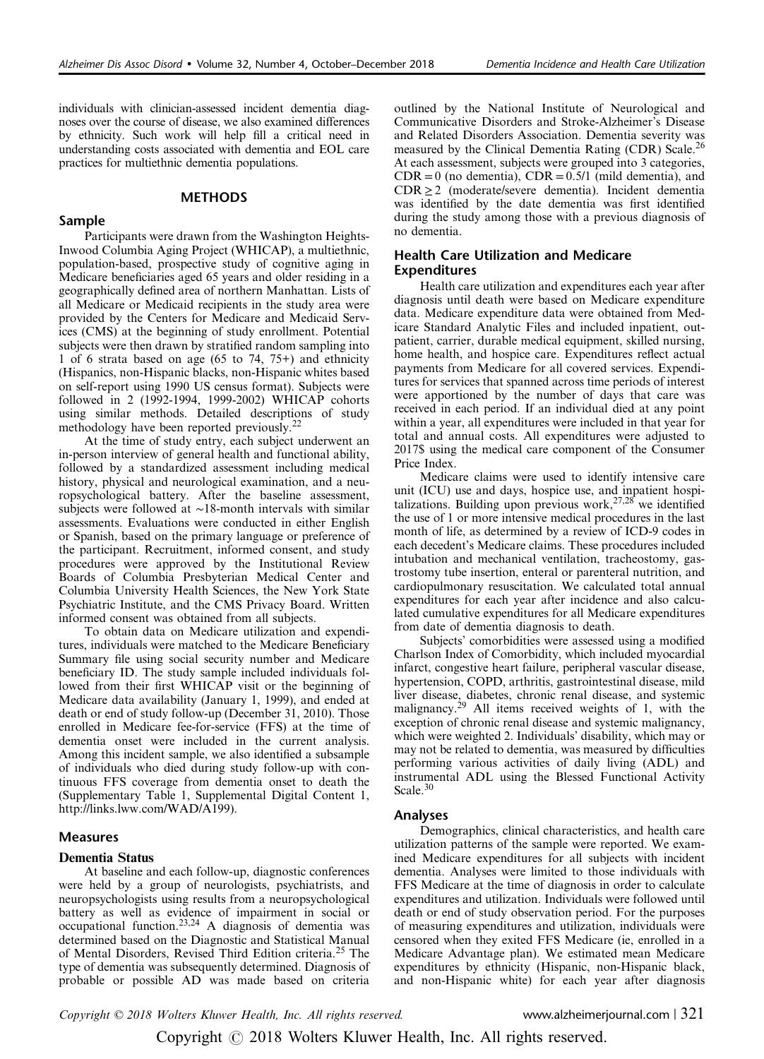individuals with clinician-assessed incident dementia diagnoses over the course of disease, we also examined differences by ethnicity. Such work will help fill a critical need in understanding costs associated with dementia and EOL care practices for multiethnic dementia populations.

# **METHODS**

### Sample

Participants were drawn from the Washington Heights-Inwood Columbia Aging Project (WHICAP), a multiethnic, population-based, prospective study of cognitive aging in Medicare beneficiaries aged 65 years and older residing in a geographically defined area of northern Manhattan. Lists of all Medicare or Medicaid recipients in the study area were provided by the Centers for Medicare and Medicaid Services (CMS) at the beginning of study enrollment. Potential subjects were then drawn by stratified random sampling into 1 of 6 strata based on age (65 to 74, 75+) and ethnicity (Hispanics, non-Hispanic blacks, non-Hispanic whites based on self-report using 1990 US census format). Subjects were followed in 2 (1992-1994, 1999-2002) WHICAP cohorts using similar methods. Detailed descriptions of study methodology have been reported previously.<sup>[22](#page-5-0)</sup>

At the time of study entry, each subject underwent an in-person interview of general health and functional ability, followed by a standardized assessment including medical history, physical and neurological examination, and a neuropsychological battery. After the baseline assessment, subjects were followed at ∼18-month intervals with similar assessments. Evaluations were conducted in either English or Spanish, based on the primary language or preference of the participant. Recruitment, informed consent, and study procedures were approved by the Institutional Review Boards of Columbia Presbyterian Medical Center and Columbia University Health Sciences, the New York State Psychiatric Institute, and the CMS Privacy Board. Written informed consent was obtained from all subjects.

To obtain data on Medicare utilization and expenditures, individuals were matched to the Medicare Beneficiary Summary file using social security number and Medicare beneficiary ID. The study sample included individuals followed from their first WHICAP visit or the beginning of Medicare data availability (January 1, 1999), and ended at death or end of study follow-up (December 31, 2010). Those enrolled in Medicare fee-for-service (FFS) at the time of dementia onset were included in the current analysis. Among this incident sample, we also identified a subsample of individuals who died during study follow-up with continuous FFS coverage from dementia onset to death the (Supplementary Table 1, Supplemental Digital Content 1, <http://links.lww.com/WAD/A199>).

## **Measures**

## Dementia Status

At baseline and each follow-up, diagnostic conferences were held by a group of neurologists, psychiatrists, and neuropsychologists using results from a neuropsychological battery as well as evidence of impairment in social or occupational function.[23,24](#page-5-0) A diagnosis of dementia was determined based on the Diagnostic and Statistical Manual of Mental Disorders, Revised Third Edition criteria.[25](#page-5-0) The type of dementia was subsequently determined. Diagnosis of probable or possible AD was made based on criteria

outlined by the National Institute of Neurological and Communicative Disorders and Stroke-Alzheimer's Disease and Related Disorders Association. Dementia severity was measured by the Clinical Dementia Rating (CDR) Scale.<sup>[26](#page-5-0)</sup> At each assessment, subjects were grouped into 3 categories,  $CDR = 0$  (no dementia),  $CDR = 0.5/1$  (mild dementia), and  $CDR \geq 2$  (moderate/severe dementia). Incident dementia was identified by the date dementia was first identified during the study among those with a previous diagnosis of no dementia.

## Health Care Utilization and Medicare Expenditures

Health care utilization and expenditures each year after diagnosis until death were based on Medicare expenditure data. Medicare expenditure data were obtained from Medicare Standard Analytic Files and included inpatient, outpatient, carrier, durable medical equipment, skilled nursing, home health, and hospice care. Expenditures reflect actual payments from Medicare for all covered services. Expenditures for services that spanned across time periods of interest were apportioned by the number of days that care was received in each period. If an individual died at any point within a year, all expenditures were included in that year for total and annual costs. All expenditures were adjusted to 2017\$ using the medical care component of the Consumer Price Index.

Medicare claims were used to identify intensive care unit (ICU) use and days, hospice use, and inpatient hospitalizations. Building upon previous work,  $27.28$  we identified the use of 1 or more intensive medical procedures in the last month of life, as determined by a review of ICD-9 codes in each decedent's Medicare claims. These procedures included intubation and mechanical ventilation, tracheostomy, gastrostomy tube insertion, enteral or parenteral nutrition, and cardiopulmonary resuscitation. We calculated total annual expenditures for each year after incidence and also calculated cumulative expenditures for all Medicare expenditures from date of dementia diagnosis to death.

Subjects' comorbidities were assessed using a modified Charlson Index of Comorbidity, which included myocardial infarct, congestive heart failure, peripheral vascular disease, hypertension, COPD, arthritis, gastrointestinal disease, mild liver disease, diabetes, chronic renal disease, and systemic malignancy. $29$  All items received weights of 1, with the exception of chronic renal disease and systemic malignancy, which were weighted 2. Individuals' disability, which may or may not be related to dementia, was measured by difficulties performing various activities of daily living (ADL) and instrumental ADL using the Blessed Functional Activity Scale. $30$ 

#### Analyses

Demographics, clinical characteristics, and health care utilization patterns of the sample were reported. We examined Medicare expenditures for all subjects with incident dementia. Analyses were limited to those individuals with FFS Medicare at the time of diagnosis in order to calculate expenditures and utilization. Individuals were followed until death or end of study observation period. For the purposes of measuring expenditures and utilization, individuals were censored when they exited FFS Medicare (ie, enrolled in a Medicare Advantage plan). We estimated mean Medicare expenditures by ethnicity (Hispanic, non-Hispanic black, and non-Hispanic white) for each year after diagnosis

Copyright © 2018 Wolters Kluwer Health, Inc. All rights reserved. www.alzheimerjournal.com | 321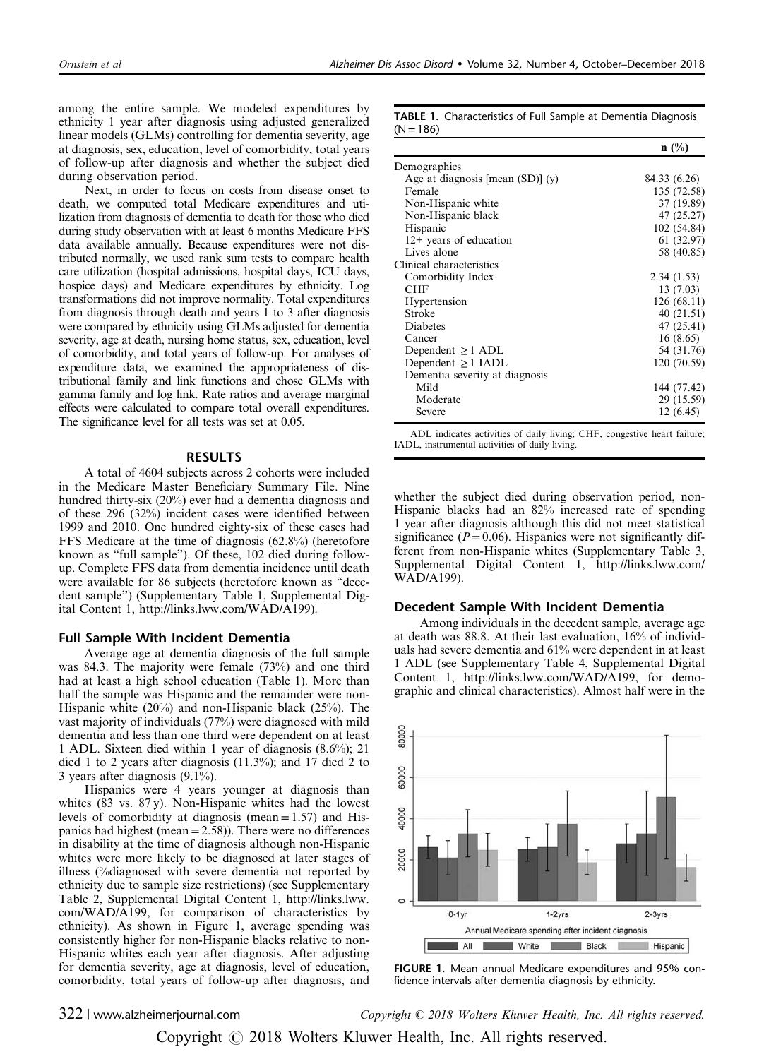among the entire sample. We modeled expenditures by ethnicity 1 year after diagnosis using adjusted generalized linear models (GLMs) controlling for dementia severity, age at diagnosis, sex, education, level of comorbidity, total years of follow-up after diagnosis and whether the subject died during observation period.

Next, in order to focus on costs from disease onset to death, we computed total Medicare expenditures and utilization from diagnosis of dementia to death for those who died during study observation with at least 6 months Medicare FFS data available annually. Because expenditures were not distributed normally, we used rank sum tests to compare health care utilization (hospital admissions, hospital days, ICU days, hospice days) and Medicare expenditures by ethnicity. Log transformations did not improve normality. Total expenditures from diagnosis through death and years 1 to 3 after diagnosis were compared by ethnicity using GLMs adjusted for dementia severity, age at death, nursing home status, sex, education, level of comorbidity, and total years of follow-up. For analyses of expenditure data, we examined the appropriateness of distributional family and link functions and chose GLMs with gamma family and log link. Rate ratios and average marginal effects were calculated to compare total overall expenditures. The significance level for all tests was set at 0.05.

## RESULTS

A total of 4604 subjects across 2 cohorts were included in the Medicare Master Beneficiary Summary File. Nine hundred thirty-six (20%) ever had a dementia diagnosis and of these 296 (32%) incident cases were identified between 1999 and 2010. One hundred eighty-six of these cases had FFS Medicare at the time of diagnosis (62.8%) (heretofore known as "full sample"). Of these, 102 died during followup. Complete FFS data from dementia incidence until death were available for 86 subjects (heretofore known as "decedent sample") (Supplementary Table 1, Supplemental Digital Content 1, [http://links.lww.com/WAD/A199\)](http://links.lww.com/WAD/A199).

#### Full Sample With Incident Dementia

Average age at dementia diagnosis of the full sample was 84.3. The majority were female (73%) and one third had at least a high school education (Table 1). More than half the sample was Hispanic and the remainder were non-Hispanic white (20%) and non-Hispanic black (25%). The vast majority of individuals (77%) were diagnosed with mild dementia and less than one third were dependent on at least 1 ADL. Sixteen died within 1 year of diagnosis (8.6%); 21 died 1 to 2 years after diagnosis (11.3%); and 17 died 2 to 3 years after diagnosis (9.1%).

Hispanics were 4 years younger at diagnosis than whites (83 vs. 87 y). Non-Hispanic whites had the lowest levels of comorbidity at diagnosis (mean  $= 1.57$ ) and Hispanics had highest (mean  $= 2.58$ )). There were no differences in disability at the time of diagnosis although non-Hispanic whites were more likely to be diagnosed at later stages of illness (%diagnosed with severe dementia not reported by ethnicity due to sample size restrictions) (see Supplementary Table 2, Supplemental Digital Content 1, [http://links.lww.](http://links.lww.com/WAD/A199) [com/WAD/A199](http://links.lww.com/WAD/A199), for comparison of characteristics by ethnicity). As shown in Figure 1, average spending was consistently higher for non-Hispanic blacks relative to non-Hispanic whites each year after diagnosis. After adjusting for dementia severity, age at diagnosis, level of education, comorbidity, total years of follow-up after diagnosis, and

TABLE 1. Characteristics of Full Sample at Dementia Diagnosis  $(N = 186)$ 

|                                       | $n$ (%)      |
|---------------------------------------|--------------|
| Demographics                          |              |
| Age at diagnosis [mean $(SD)$ ] $(y)$ | 84.33 (6.26) |
| Female                                | 135 (72.58)  |
| Non-Hispanic white                    | 37 (19.89)   |
| Non-Hispanic black                    | 47 (25.27)   |
| Hispanic                              | 102 (54.84)  |
| 12+ years of education                | 61 (32.97)   |
| Lives alone                           | 58 (40.85)   |
| Clinical characteristics              |              |
| Comorbidity Index                     | 2.34(1.53)   |
| CHF                                   | 13 (7.03)    |
| Hypertension                          | 126(68.11)   |
| Stroke                                | 40 (21.51)   |
| Diabetes                              | 47 (25.41)   |
| Cancer                                | 16(8.65)     |
| Dependent $\geq$ 1 ADL                | 54 (31.76)   |
| Dependent $\geq 1$ IADL               | 120 (70.59)  |
| Dementia severity at diagnosis        |              |
| Mild                                  | 144 (77.42)  |
| Moderate                              | 29 (15.59)   |
| Severe                                | 12 (6.45)    |

ADL indicates activities of daily living; CHF, congestive heart failure; IADL, instrumental activities of daily living.

whether the subject died during observation period, non-Hispanic blacks had an 82% increased rate of spending 1 year after diagnosis although this did not meet statistical significance ( $P = 0.06$ ). Hispanics were not significantly different from non-Hispanic whites (Supplementary Table 3, Supplemental Digital Content 1, [http://links.lww.com/](http://links.lww.com/WAD/A199) [WAD/A199\)](http://links.lww.com/WAD/A199).

## Decedent Sample With Incident Dementia

Among individuals in the decedent sample, average age at death was 88.8. At their last evaluation, 16% of individuals had severe dementia and 61% were dependent in at least 1 ADL (see Supplementary Table 4, Supplemental Digital Content 1,<http://links.lww.com/WAD/A199>, for demographic and clinical characteristics). Almost half were in the



FIGURE 1. Mean annual Medicare expenditures and 95% confidence intervals after dementia diagnosis by ethnicity.

322 | www.alzheimerjournal.com Copyright © 2018 Wolters Kluwer Health, Inc. All rights reserved.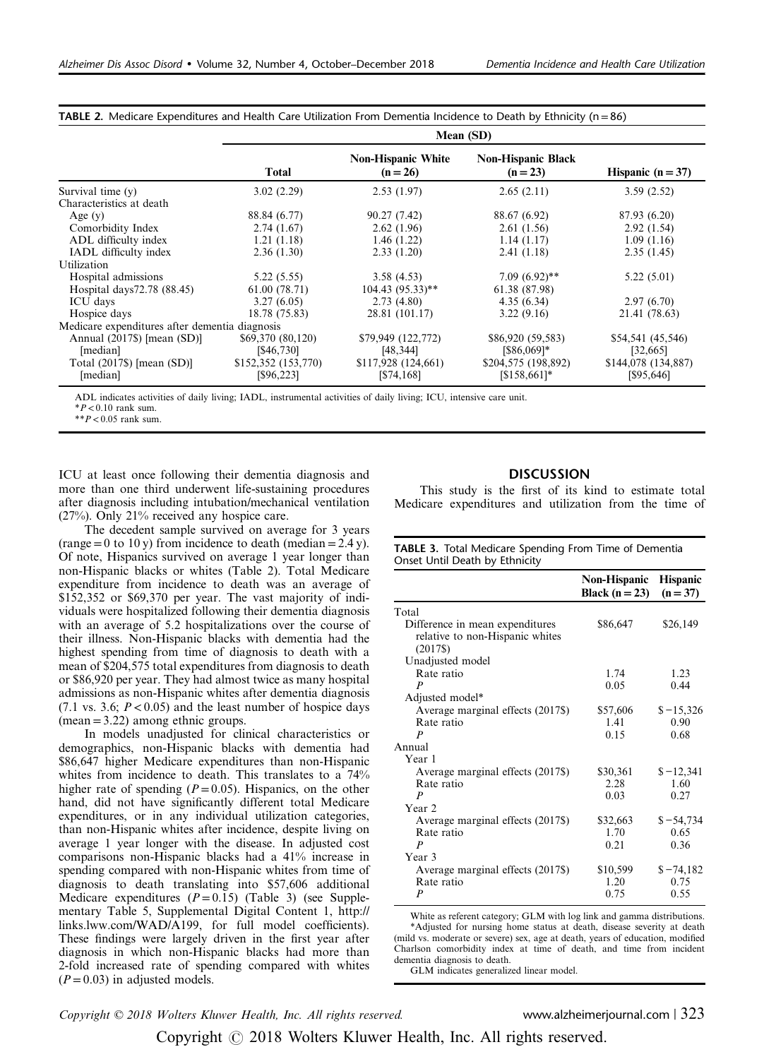|                                                | Mean (SD)           |                                         |                                         |                     |  |  |
|------------------------------------------------|---------------------|-----------------------------------------|-----------------------------------------|---------------------|--|--|
|                                                | <b>Total</b>        | <b>Non-Hispanic White</b><br>$(n = 26)$ | <b>Non-Hispanic Black</b><br>$(n = 23)$ | Hispanic $(n = 37)$ |  |  |
| Survival time (y)                              | 3.02(2.29)          | 2.53(1.97)                              | 2.65(2.11)                              | 3.59(2.52)          |  |  |
| Characteristics at death                       |                     |                                         |                                         |                     |  |  |
| Age $(y)$                                      | 88.84 (6.77)        | 90.27 (7.42)                            | 88.67 (6.92)                            | 87.93 (6.20)        |  |  |
| Comorbidity Index                              | 2.74(1.67)          | 2.62(1.96)                              | 2.61(1.56)                              | 2.92(1.54)          |  |  |
| ADL difficulty index                           | 1.21(1.18)          | 1.46(1.22)                              | 1.14(1.17)                              | 1.09(1.16)          |  |  |
| IADL difficulty index                          | 2.36(1.30)          | 2.33(1.20)                              | 2.41(1.18)                              | 2.35(1.45)          |  |  |
| Utilization                                    |                     |                                         |                                         |                     |  |  |
| Hospital admissions                            | 5.22(5.55)          | 3.58(4.53)                              | $7.09(6.92)$ **                         | 5.22(5.01)          |  |  |
| Hospital days 72.78 (88.45)                    | 61.00(78.71)        | $104.43(95.33)$ **                      | 61.38 (87.98)                           |                     |  |  |
| <b>ICU</b> days                                | 3.27(6.05)          | 2.73(4.80)                              | 4.35(6.34)                              | 2.97(6.70)          |  |  |
| Hospice days                                   | 18.78 (75.83)       | 28.81 (101.17)                          | 3.22(9.16)                              | 21.41 (78.63)       |  |  |
| Medicare expenditures after dementia diagnosis |                     |                                         |                                         |                     |  |  |
| Annual (2017\$) [mean (SD)]                    | \$69,370 (80,120)   | \$79,949 (122,772)                      | \$86,920 (59,583)                       | \$54,541 (45,546)   |  |  |
| [median]                                       | [\$46,730]          | [48, 344]                               | $[$86,069]*$                            | [32,665]            |  |  |
| Total $(2017\$ ) [mean $(SD)$ ]                | \$152,352 (153,770) | \$117,928(124,661)                      | \$204,575 (198,892)                     | \$144,078 (134,887) |  |  |
| [median]                                       | [\$96,223]          | [\$74,168]                              | $[$158,661]*$                           | [\$95,646]          |  |  |

TABLE 2. Medicare Expenditures and Health Care Utilization From Dementia Incidence to Death by Ethnicity (n =86)

ADL indicates activities of daily living; IADL, instrumental activities of daily living; ICU, intensive care unit.

 $*P<0.10$  rank sum.

 $*$  $P$  < 0.05 rank sum.

ICU at least once following their dementia diagnosis and more than one third underwent life-sustaining procedures after diagnosis including intubation/mechanical ventilation (27%). Only 21% received any hospice care.

The decedent sample survived on average for 3 years  $(range=0 to 10 y)$  from incidence to death (median = 2.4 y). Of note, Hispanics survived on average 1 year longer than non-Hispanic blacks or whites (Table 2). Total Medicare expenditure from incidence to death was an average of \$152,352 or \$69,370 per year. The vast majority of individuals were hospitalized following their dementia diagnosis with an average of 5.2 hospitalizations over the course of their illness. Non-Hispanic blacks with dementia had the highest spending from time of diagnosis to death with a mean of \$204,575 total expenditures from diagnosis to death or \$86,920 per year. They had almost twice as many hospital admissions as non-Hispanic whites after dementia diagnosis  $(7.1 \text{ vs. } 3.6; P < 0.05)$  and the least number of hospice days  $(mean = 3.22)$  among ethnic groups.

In models unadjusted for clinical characteristics or demographics, non-Hispanic blacks with dementia had \$86,647 higher Medicare expenditures than non-Hispanic whites from incidence to death. This translates to a 74% higher rate of spending ( $P=0.05$ ). Hispanics, on the other hand, did not have significantly different total Medicare expenditures, or in any individual utilization categories, than non-Hispanic whites after incidence, despite living on average 1 year longer with the disease. In adjusted cost comparisons non-Hispanic blacks had a 41% increase in spending compared with non-Hispanic whites from time of diagnosis to death translating into \$57,606 additional Medicare expenditures  $(P = 0.15)$  (Table 3) (see Supplementary Table 5, Supplemental Digital Content 1, [http://](http://links.lww.com/WAD/A199) [links.lww.com/WAD/A199](http://links.lww.com/WAD/A199), for full model coefficients). These findings were largely driven in the first year after diagnosis in which non-Hispanic blacks had more than 2-fold increased rate of spending compared with whites  $(P = 0.03)$  in adjusted models.

# **DISCUSSION**

This study is the first of its kind to estimate total Medicare expenditures and utilization from the time of

| <b>TABLE 3.</b> Total Medicare Spending From Time of Dementia |
|---------------------------------------------------------------|
| Onset Until Death by Ethnicity                                |

|                                                                                | Non-Hispanic<br>Black $(n=23)$ | <b>Hispanic</b><br>$(n = 37)$ |
|--------------------------------------------------------------------------------|--------------------------------|-------------------------------|
| Total                                                                          |                                |                               |
| Difference in mean expenditures<br>relative to non-Hispanic whites<br>$(2017\$ | \$86,647                       | \$26,149                      |
| Unadjusted model                                                               |                                |                               |
| Rate ratio                                                                     | 1.74                           | 1.23                          |
| P                                                                              | 0.05                           | 0.44                          |
| Adjusted model*                                                                |                                |                               |
| Average marginal effects (2017\$)<br>Rate ratio<br>P                           | \$57,606<br>1.41<br>0.15       | $$ -15,326$<br>0.90<br>0.68   |
| Annual                                                                         |                                |                               |
| Year 1                                                                         |                                |                               |
| Average marginal effects (2017\$)<br>Rate ratio<br>P                           | \$30,361<br>2.28<br>0.03       | $$ -12,341$<br>1.60<br>0.27   |
| Year 2                                                                         |                                |                               |
| Average marginal effects (2017\$)<br>Rate ratio<br>P                           | \$32,663<br>1.70<br>0.21       | $$ -54,734$<br>0.65<br>0.36   |
| Year 3                                                                         |                                |                               |
| Average marginal effects (2017\$)<br>Rate ratio<br>P                           | \$10,599<br>1.20<br>0.75       | $$ -74,182$<br>0.75<br>0.55   |

White as referent category; GLM with log link and gamma distributions. \*Adjusted for nursing home status at death, disease severity at death (mild vs. moderate or severe) sex, age at death, years of education, modified Charlson comorbidity index at time of death, and time from incident dementia diagnosis to death. GLM indicates generalized linear model.

Copyright © 2018 Wolters Kluwer Health, Inc. All rights reserved. www.alzheimerjournal.com | 323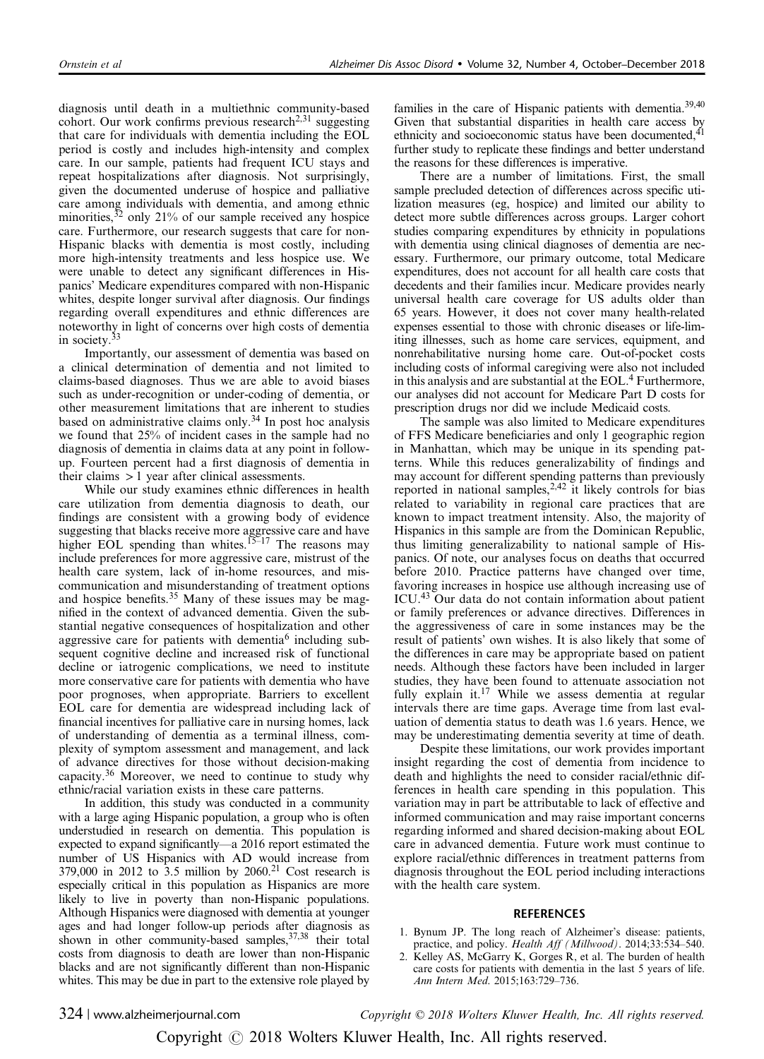<span id="page-4-0"></span>diagnosis until death in a multiethnic community-based cohort. Our work confirms previous research $^{2,31}$  suggesting that care for individuals with dementia including the EOL period is costly and includes high-intensity and complex care. In our sample, patients had frequent ICU stays and repeat hospitalizations after diagnosis. Not surprisingly, given the documented underuse of hospice and palliative care among individuals with dementia, and among ethnic minorities,  $32$  only 21% of our sample received any hospice care. Furthermore, our research suggests that care for non-Hispanic blacks with dementia is most costly, including more high-intensity treatments and less hospice use. We were unable to detect any significant differences in Hispanics' Medicare expenditures compared with non-Hispanic whites, despite longer survival after diagnosis. Our findings regarding overall expenditures and ethnic differences are noteworthy in light of concerns over high costs of dementia in society.<sup>[33](#page-5-0)</sup>

Importantly, our assessment of dementia was based on a clinical determination of dementia and not limited to claims-based diagnoses. Thus we are able to avoid biases such as under-recognition or under-coding of dementia, or other measurement limitations that are inherent to studies based on administrative claims only.<sup>[34](#page-5-0)</sup> In post hoc analysis we found that 25% of incident cases in the sample had no diagnosis of dementia in claims data at any point in followup. Fourteen percent had a first diagnosis of dementia in their claims  $> 1$  year after clinical assessments.

While our study examines ethnic differences in health care utilization from dementia diagnosis to death, our findings are consistent with a growing body of evidence suggesting that blacks receive more aggressive care and have higher EOL spending than whites.<sup>15–[17](#page-5-0)</sup> The reasons may include preferences for more aggressive care, mistrust of the health care system, lack of in-home resources, and miscommunication and misunderstanding of treatment options and hospice benefits.<sup>[35](#page-5-0)</sup> Many of these issues may be magnified in the context of advanced dementia. Given the substantial negative consequences of hospitalization and other aggressive care for patients with dementia<sup>[6](#page-5-0)</sup> including subsequent cognitive decline and increased risk of functional decline or iatrogenic complications, we need to institute more conservative care for patients with dementia who have poor prognoses, when appropriate. Barriers to excellent EOL care for dementia are widespread including lack of financial incentives for palliative care in nursing homes, lack of understanding of dementia as a terminal illness, complexity of symptom assessment and management, and lack of advance directives for those without decision-making capacity.<sup>[36](#page-5-0)</sup> Moreover, we need to continue to study why ethnic/racial variation exists in these care patterns.

In addition, this study was conducted in a community with a large aging Hispanic population, a group who is often understudied in research on dementia. This population is expected to expand significantly—a 2016 report estimated the number of US Hispanics with AD would increase from  $379,000$  in 2012 to  $3.5$  million by 2060.<sup>21</sup> Cost research is especially critical in this population as Hispanics are more likely to live in poverty than non-Hispanic populations. Although Hispanics were diagnosed with dementia at younger ages and had longer follow-up periods after diagnosis as shown in other community-based samples, <sup>[37,38](#page-5-0)</sup> their total costs from diagnosis to death are lower than non-Hispanic blacks and are not significantly different than non-Hispanic whites. This may be due in part to the extensive role played by families in the care of Hispanic patients with dementia.<sup>39,40</sup> Given that substantial disparities in health care access by ethnicity and socioeconomic status have been documented,<sup>[41](#page-5-0)</sup> further study to replicate these findings and better understand the reasons for these differences is imperative.

There are a number of limitations. First, the small sample precluded detection of differences across specific utilization measures (eg, hospice) and limited our ability to detect more subtle differences across groups. Larger cohort studies comparing expenditures by ethnicity in populations with dementia using clinical diagnoses of dementia are necessary. Furthermore, our primary outcome, total Medicare expenditures, does not account for all health care costs that decedents and their families incur. Medicare provides nearly universal health care coverage for US adults older than 65 years. However, it does not cover many health-related expenses essential to those with chronic diseases or life-limiting illnesses, such as home care services, equipment, and nonrehabilitative nursing home care. Out-of-pocket costs including costs of informal caregiving were also not included in this analysis and are substantial at the EOL[.4](#page-5-0) Furthermore, our analyses did not account for Medicare Part D costs for prescription drugs nor did we include Medicaid costs.

The sample was also limited to Medicare expenditures of FFS Medicare beneficiaries and only 1 geographic region in Manhattan, which may be unique in its spending patterns. While this reduces generalizability of findings and may account for different spending patterns than previously reported in national samples,  $2.42$  it likely controls for bias related to variability in regional care practices that are known to impact treatment intensity. Also, the majority of Hispanics in this sample are from the Dominican Republic, thus limiting generalizability to national sample of Hispanics. Of note, our analyses focus on deaths that occurred before 2010. Practice patterns have changed over time, favoring increases in hospice use although increasing use of ICU.[43](#page-5-0) Our data do not contain information about patient or family preferences or advance directives. Differences in the aggressiveness of care in some instances may be the result of patients' own wishes. It is also likely that some of the differences in care may be appropriate based on patient needs. Although these factors have been included in larger studies, they have been found to attenuate association not fully explain it.<sup>17</sup> While we assess dementia at regular intervals there are time gaps. Average time from last evaluation of dementia status to death was 1.6 years. Hence, we may be underestimating dementia severity at time of death.

Despite these limitations, our work provides important insight regarding the cost of dementia from incidence to death and highlights the need to consider racial/ethnic differences in health care spending in this population. This variation may in part be attributable to lack of effective and informed communication and may raise important concerns regarding informed and shared decision-making about EOL care in advanced dementia. Future work must continue to explore racial/ethnic differences in treatment patterns from diagnosis throughout the EOL period including interactions with the health care system.

# **REFERENCES**

- 1. Bynum JP. The long reach of Alzheimer's disease: patients, practice, and policy. Health Aff (Millwood). 2014;33:534-540.
- Kelley AS, McGarry K, Gorges R, et al. The burden of health care costs for patients with dementia in the last 5 years of life. Ann Intern Med. 2015;163:729–736.

324 | www.alzheimerjournal.com Copyright © 2018 Wolters Kluwer Health, Inc. All rights reserved.